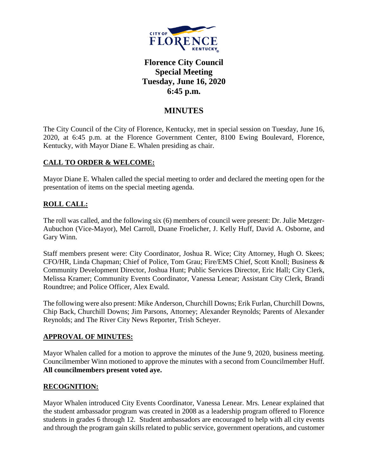

# **Florence City Council Special Meeting Tuesday, June 16, 2020 6:45 p.m.**

## **MINUTES**

The City Council of the City of Florence, Kentucky, met in special session on Tuesday, June 16, 2020, at 6:45 p.m. at the Florence Government Center, 8100 Ewing Boulevard, Florence, Kentucky, with Mayor Diane E. Whalen presiding as chair.

### **CALL TO ORDER & WELCOME:**

Mayor Diane E. Whalen called the special meeting to order and declared the meeting open for the presentation of items on the special meeting agenda.

### **ROLL CALL:**

The roll was called, and the following six (6) members of council were present: Dr. Julie Metzger-Aubuchon (Vice-Mayor), Mel Carroll, Duane Froelicher, J. Kelly Huff, David A. Osborne, and Gary Winn.

Staff members present were: City Coordinator, Joshua R. Wice; City Attorney, Hugh O. Skees; CFO/HR, Linda Chapman; Chief of Police, Tom Grau; Fire/EMS Chief, Scott Knoll; Business & Community Development Director, Joshua Hunt; Public Services Director, Eric Hall; City Clerk, Melissa Kramer; Community Events Coordinator, Vanessa Lenear; Assistant City Clerk, Brandi Roundtree; and Police Officer, Alex Ewald.

The following were also present: Mike Anderson, Churchill Downs; Erik Furlan, Churchill Downs, Chip Back, Churchill Downs; Jim Parsons, Attorney; Alexander Reynolds; Parents of Alexander Reynolds; and The River City News Reporter, Trish Scheyer.

### **APPROVAL OF MINUTES:**

Mayor Whalen called for a motion to approve the minutes of the June 9, 2020, business meeting. Councilmember Winn motioned to approve the minutes with a second from Councilmember Huff. **All councilmembers present voted aye.** 

### **RECOGNITION:**

Mayor Whalen introduced City Events Coordinator, Vanessa Lenear. Mrs. Lenear explained that the student ambassador program was created in 2008 as a leadership program offered to Florence students in grades 6 through 12. Student ambassadors are encouraged to help with all city events and through the program gain skills related to public service, government operations, and customer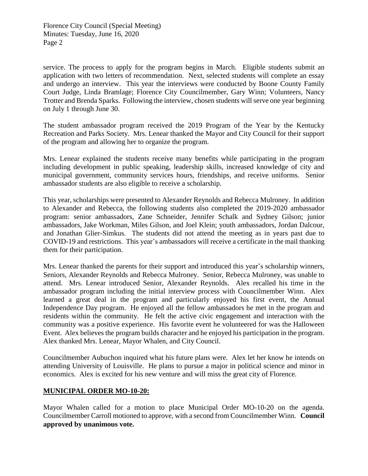service. The process to apply for the program begins in March. Eligible students submit an application with two letters of recommendation. Next, selected students will complete an essay and undergo an interview. This year the interviews were conducted by Boone County Family Court Judge, Linda Bramlage; Florence City Councilmember, Gary Winn; Volunteers, Nancy Trotter and Brenda Sparks. Following the interview, chosen students will serve one year beginning on July 1 through June 30.

The student ambassador program received the 2019 Program of the Year by the Kentucky Recreation and Parks Society. Mrs. Lenear thanked the Mayor and City Council for their support of the program and allowing her to organize the program.

Mrs. Lenear explained the students receive many benefits while participating in the program including development in public speaking, leadership skills, increased knowledge of city and municipal government, community services hours, friendships, and receive uniforms. Senior ambassador students are also eligible to receive a scholarship.

This year, scholarships were presented to Alexander Reynolds and Rebecca Mulroney. In addition to Alexander and Rebecca, the following students also completed the 2019-2020 ambassador program: senior ambassadors, Zane Schneider, Jennifer Schalk and Sydney Gilson; junior ambassadors, Jake Workman, Miles Gilson, and Joel Klein; youth ambassadors, Jordan Dalcour, and Jonathan Glier-Simkus. The students did not attend the meeting as in years past due to COVID-19 and restrictions. This year's ambassadors will receive a certificate in the mail thanking them for their participation.

Mrs. Lenear thanked the parents for their support and introduced this year's scholarship winners, Seniors, Alexander Reynolds and Rebecca Mulroney. Senior, Rebecca Mulroney, was unable to attend. Mrs. Lenear introduced Senior, Alexander Reynolds. Alex recalled his time in the ambassador program including the initial interview process with Councilmember Winn. Alex learned a great deal in the program and particularly enjoyed his first event, the Annual Independence Day program. He enjoyed all the fellow ambassadors he met in the program and residents within the community. He felt the active civic engagement and interaction with the community was a positive experience. His favorite event he volunteered for was the Halloween Event. Alex believes the program builds character and he enjoyed his participation in the program. Alex thanked Mrs. Lenear, Mayor Whalen, and City Council.

Councilmember Aubuchon inquired what his future plans were. Alex let her know he intends on attending University of Louisville. He plans to pursue a major in political science and minor in economics. Alex is excited for his new venture and will miss the great city of Florence.

### **MUNICIPAL ORDER MO-10-20:**

Mayor Whalen called for a motion to place Municipal Order MO-10-20 on the agenda. Councilmember Carroll motioned to approve, with a second from Councilmember Winn. **Council approved by unanimous vote.**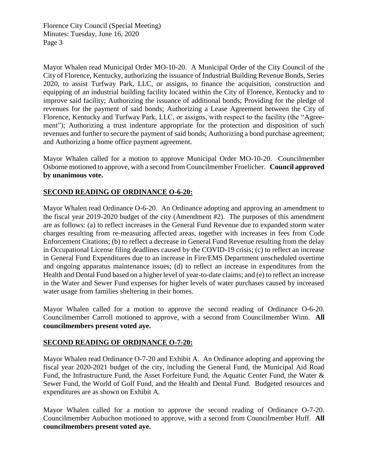Florence City Council (Special Meeting) Minutes: Tuesday, June 16, 2020 Page 3

Mayor Whalen read Municipal Order MO-10-20. A Municipal Order of the City Council of the City of Florence, Kentucky, authorizing the issuance of Industrial Building Revenue Bonds, Series 2020, to assist Turfway Park, LLC, or assigns, to finance the acquisition, construction and equipping of an industrial building facility located within the City of Florence, Kentucky and to improve said facility; Authorizing the issuance of additional bonds; Providing for the pledge of revenues for the payment of said bonds; Authorizing a Lease Agreement between the City of Florence, Kentucky and Turfway Park, LLC, or assigns, with respect to the facility (the "Agreement"); Authorizing a trust indenture appropriate for the protection and disposition of such revenues and further to secure the payment of said bonds; Authorizing a bond purchase agreement; and Authorizing a home office payment agreement.

Mayor Whalen called for a motion to approve Municipal Order MO-10-20. Councilmember Osborne motioned to approve, with a second from Councilmember Froelicher. **Council approved by unanimous vote.**

### **SECOND READING OF ORDINANCE O-6-20:**

Mayor Whalen read Ordinance O-6-20. An Ordinance adopting and approving an amendment to the fiscal year 2019-2020 budget of the city (Amendment #2). The purposes of this amendment are as follows: (a) to reflect increases in the General Fund Revenue due to expanded storm water charges resulting from re-measuring affected areas, together with increases in fees from Code Enforcement Citations; (b) to reflect a decrease in General Fund Revenue resulting from the delay in Occupational License filing deadlines caused by the COVID-19 crisis; (c) to reflect an increase in General Fund Expenditures due to an increase in Fire/EMS Department unscheduled overtime and ongoing apparatus maintenance issues; (d) to reflect an increase in expenditures from the Health and Dental Fund based on a higher level of year-to-date claims; and (e) to reflect an increase in the Water and Sewer Fund expenses for higher levels of water purchases caused by increased water usage from families sheltering in their homes.

Mayor Whalen called for a motion to approve the second reading of Ordinance O-6-20. Councilmember Carroll motioned to approve, with a second from Councilmember Winn. **All councilmembers present voted aye.** 

### **SECOND READING OF ORDINANCE O-7-20:**

Mayor Whalen read Ordinance O-7-20 and Exhibit A. An Ordinance adopting and approving the fiscal year 2020-2021 budget of the city, including the General Fund, the Municipal Aid Road Fund, the Infrastructure Fund, the Asset Forfeiture Fund, the Aquatic Center Fund, the Water & Sewer Fund, the World of Golf Fund, and the Health and Dental Fund. Budgeted resources and expenditures are as shown on Exhibit A.

Mayor Whalen called for a motion to approve the second reading of Ordinance O-7-20. Councilmember Aubuchon motioned to approve, with a second from Councilmember Huff. **All councilmembers present voted aye.**